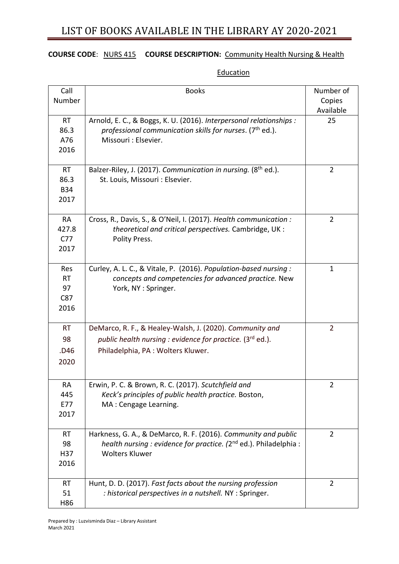### **COURSE CODE**: NURS 415 **COURSE DESCRIPTION:** Community Health Nursing & Health

| Call                                          | <b>Books</b>                                                                                                                                                             | Number of      |
|-----------------------------------------------|--------------------------------------------------------------------------------------------------------------------------------------------------------------------------|----------------|
| Number                                        |                                                                                                                                                                          | Copies         |
|                                               |                                                                                                                                                                          | Available      |
| <b>RT</b><br>86.3<br>A76<br>2016              | Arnold, E. C., & Boggs, K. U. (2016). Interpersonal relationships :<br>professional communication skills for nurses. ( $7th$ ed.).<br>Missouri : Elsevier.               | 25             |
| <b>RT</b><br>86.3<br><b>B34</b><br>2017       | Balzer-Riley, J. (2017). Communication in nursing. (8 <sup>th</sup> ed.).<br>St. Louis, Missouri : Elsevier.                                                             | $\overline{2}$ |
| <b>RA</b><br>427.8<br>C <sub>77</sub><br>2017 | Cross, R., Davis, S., & O'Neil, I. (2017). Health communication :<br>theoretical and critical perspectives. Cambridge, UK:<br>Polity Press.                              | $\overline{2}$ |
| Res<br><b>RT</b><br>97<br>C87<br>2016         | Curley, A. L. C., & Vitale, P. (2016). Population-based nursing:<br>concepts and competencies for advanced practice. New<br>York, NY: Springer.                          | 1              |
| <b>RT</b>                                     | DeMarco, R. F., & Healey-Walsh, J. (2020). Community and                                                                                                                 | $\overline{2}$ |
| 98                                            | public health nursing : evidence for practice. (3rd ed.).                                                                                                                |                |
| .D46                                          | Philadelphia, PA: Wolters Kluwer.                                                                                                                                        |                |
| 2020                                          |                                                                                                                                                                          |                |
| RA<br>445<br>E77                              | Erwin, P. C. & Brown, R. C. (2017). Scutchfield and<br>Keck's principles of public health practice. Boston,<br>MA: Cengage Learning.                                     | 2              |
| 2017                                          |                                                                                                                                                                          |                |
| <b>RT</b><br>98<br>H37<br>2016                | Harkness, G. A., & DeMarco, R. F. (2016). Community and public<br>health nursing : evidence for practice. (2 <sup>nd</sup> ed.). Philadelphia :<br><b>Wolters Kluwer</b> | $\overline{2}$ |
| <b>RT</b><br>51<br>H86                        | Hunt, D. D. (2017). Fast facts about the nursing profession<br>: historical perspectives in a nutshell. NY : Springer.                                                   | $\overline{2}$ |

#### **Education**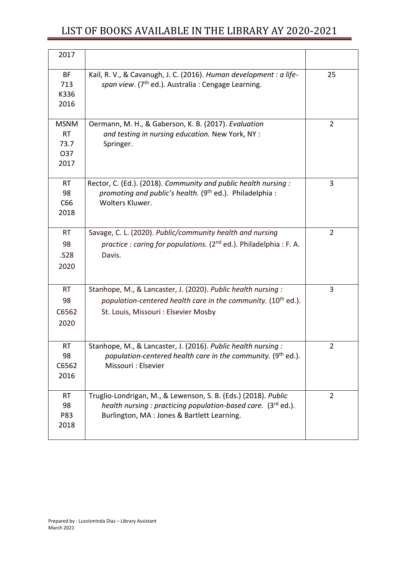| 2017                                            |                                                                                                                                                                                   |                |
|-------------------------------------------------|-----------------------------------------------------------------------------------------------------------------------------------------------------------------------------------|----------------|
| BF<br>713<br>K336<br>2016                       | Kail, R. V., & Cavanugh, J. C. (2016). Human development : a life-<br>span view. (7 <sup>th</sup> ed.). Australia: Cengage Learning.                                              | 25             |
| <b>MSNM</b><br><b>RT</b><br>73.7<br>O37<br>2017 | Oermann, M. H., & Gaberson, K. B. (2017). Evaluation<br>and testing in nursing education. New York, NY :<br>Springer.                                                             | $\overline{2}$ |
| <b>RT</b><br>98<br>C66<br>2018                  | Rector, C. (Ed.). (2018). Community and public health nursing:<br>promoting and public's health. (9 <sup>th</sup> ed.). Philadelphia :<br>Wolters Kluwer.                         | 3              |
| <b>RT</b><br>98<br>.S28<br>2020                 | Savage, C. L. (2020). Public/community health and nursing<br>practice: caring for populations. $(2^{nd}$ ed.). Philadelphia: F. A.<br>Davis.                                      | $\overline{2}$ |
| <b>RT</b><br>98<br>C6562<br>2020                | Stanhope, M., & Lancaster, J. (2020). Public health nursing:<br>population-centered health care in the community. (10 <sup>th</sup> ed.).<br>St. Louis, Missouri : Elsevier Mosby | 3              |
| RT<br>98<br>C6562<br>2016                       | Stanhope, M., & Lancaster, J. (2016). Public health nursing:<br>population-centered health care in the community. (9th ed.).<br>Missouri : Elsevier                               | 2              |
| <b>RT</b><br>98<br>P83<br>2018                  | Truglio-Londrigan, M., & Lewenson, S. B. (Eds.) (2018). Public<br>health nursing : practicing population-based care. (3rd ed.).<br>Burlington, MA: Jones & Bartlett Learning.     | $\overline{2}$ |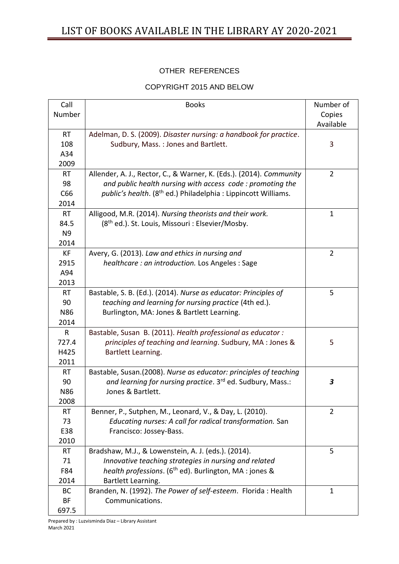### OTHER REFERENCES

#### COPYRIGHT 2015 AND BELOW

| Call           | <b>Books</b>                                                               | Number of      |
|----------------|----------------------------------------------------------------------------|----------------|
| Number         |                                                                            | Copies         |
|                |                                                                            | Available      |
| <b>RT</b>      | Adelman, D. S. (2009). Disaster nursing: a handbook for practice.          |                |
| 108            | Sudbury, Mass.: Jones and Bartlett.                                        | 3              |
| A34            |                                                                            |                |
| 2009           |                                                                            |                |
| <b>RT</b>      | Allender, A. J., Rector, C., & Warner, K. (Eds.). (2014). Community        | $\overline{2}$ |
| 98             | and public health nursing with access code: promoting the                  |                |
| C66            | public's health. (8 <sup>th</sup> ed.) Philadelphia : Lippincott Williams. |                |
| 2014           |                                                                            |                |
| <b>RT</b>      | Alligood, M.R. (2014). Nursing theorists and their work.                   | $\mathbf{1}$   |
| 84.5           | (8 <sup>th</sup> ed.). St. Louis, Missouri : Elsevier/Mosby.               |                |
| N <sub>9</sub> |                                                                            |                |
| 2014           |                                                                            |                |
| <b>KF</b>      | Avery, G. (2013). Law and ethics in nursing and                            | $\overline{2}$ |
| 2915           | healthcare: an introduction. Los Angeles: Sage                             |                |
| A94            |                                                                            |                |
| 2013           |                                                                            |                |
| <b>RT</b>      | Bastable, S. B. (Ed.). (2014). Nurse as educator: Principles of            | 5              |
| 90             | teaching and learning for nursing practice (4th ed.).                      |                |
| <b>N86</b>     | Burlington, MA: Jones & Bartlett Learning.                                 |                |
| 2014           |                                                                            |                |
| $\mathsf{R}$   | Bastable, Susan B. (2011). Health professional as educator:                |                |
| 727.4          | principles of teaching and learning. Sudbury, MA: Jones &                  | 5              |
| H425           | Bartlett Learning.                                                         |                |
| 2011           |                                                                            |                |
| <b>RT</b>      | Bastable, Susan.(2008). Nurse as educator: principles of teaching          |                |
| 90             | and learning for nursing practice. 3 <sup>rd</sup> ed. Sudbury, Mass.:     | 3              |
| N86            | Jones & Bartlett.                                                          |                |
| 2008           |                                                                            |                |
| <b>RT</b>      | Benner, P., Sutphen, M., Leonard, V., & Day, L. (2010).                    | $\overline{2}$ |
| 73             | Educating nurses: A call for radical transformation. San                   |                |
| E38            | Francisco: Jossey-Bass.                                                    |                |
| 2010           |                                                                            |                |
| <b>RT</b>      | Bradshaw, M.J., & Lowenstein, A. J. (eds.). (2014).                        | 5              |
| 71             | Innovative teaching strategies in nursing and related                      |                |
| F84            | health professions. (6 <sup>th</sup> ed). Burlington, MA : jones &         |                |
| 2014           | Bartlett Learning.                                                         |                |
| <b>BC</b>      | Branden, N. (1992). The Power of self-esteem. Florida: Health              | $\mathbf{1}$   |
| BF             | Communications.                                                            |                |
| 697.5          |                                                                            |                |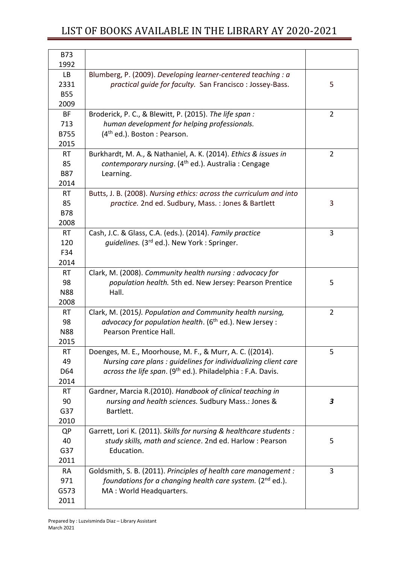| <b>B73</b><br>1992 |                                                                        |                  |
|--------------------|------------------------------------------------------------------------|------------------|
| <b>LB</b>          | Blumberg, P. (2009). Developing learner-centered teaching : a          |                  |
| 2331               | practical guide for faculty. San Francisco: Jossey-Bass.               | 5                |
| <b>B55</b>         |                                                                        |                  |
|                    |                                                                        |                  |
| 2009               |                                                                        |                  |
| BF                 | Broderick, P. C., & Blewitt, P. (2015). The life span:                 | $\overline{2}$   |
| 713                | human development for helping professionals.                           |                  |
| <b>B755</b>        | $(4th$ ed.). Boston : Pearson.                                         |                  |
| 2015               |                                                                        |                  |
| <b>RT</b>          | Burkhardt, M. A., & Nathaniel, A. K. (2014). Ethics & issues in        | $\overline{2}$   |
| 85                 | contemporary nursing. (4 <sup>th</sup> ed.). Australia: Cengage        |                  |
| <b>B87</b>         | Learning.                                                              |                  |
| 2014               |                                                                        |                  |
| <b>RT</b>          | Butts, J. B. (2008). Nursing ethics: across the curriculum and into    |                  |
| 85                 | practice. 2nd ed. Sudbury, Mass.: Jones & Bartlett                     | 3                |
| <b>B78</b>         |                                                                        |                  |
| 2008               |                                                                        |                  |
| <b>RT</b>          | Cash, J.C. & Glass, C.A. (eds.). (2014). Family practice               | 3                |
| 120                | quidelines. (3 <sup>rd</sup> ed.). New York : Springer.                |                  |
| F34                |                                                                        |                  |
| 2014               |                                                                        |                  |
| RT.                | Clark, M. (2008). Community health nursing : advocacy for              |                  |
| 98                 | population health. 5th ed. New Jersey: Pearson Prentice                | 5                |
| <b>N88</b>         | Hall.                                                                  |                  |
| 2008               |                                                                        |                  |
| <b>RT</b>          | Clark, M. (2015). Population and Community health nursing,             | $\overline{2}$   |
| 98                 | advocacy for population health. (6 <sup>th</sup> ed.). New Jersey :    |                  |
| <b>N88</b>         | Pearson Prentice Hall.                                                 |                  |
| 2015               |                                                                        |                  |
| RT                 | Doenges, M. E., Moorhouse, M. F., & Murr, A. C. ((2014).               | 5                |
| 49                 | Nursing care plans : guidelines for individualizing client care        |                  |
| D64                | across the life span. (9 <sup>th</sup> ed.). Philadelphia: F.A. Davis. |                  |
| 2014               |                                                                        |                  |
| <b>RT</b>          | Gardner, Marcia R.(2010). Handbook of clinical teaching in             |                  |
| 90                 | nursing and health sciences. Sudbury Mass.: Jones &                    | $\boldsymbol{3}$ |
| G37                | Bartlett.                                                              |                  |
| 2010               |                                                                        |                  |
| QP                 | Garrett, Lori K. (2011). Skills for nursing & healthcare students :    |                  |
| 40                 | study skills, math and science. 2nd ed. Harlow: Pearson                | 5                |
| G37                | Education.                                                             |                  |
| 2011               |                                                                        |                  |
| <b>RA</b>          | Goldsmith, S. B. (2011). Principles of health care management :        | 3                |
| 971                | foundations for a changing health care system. (2 <sup>nd</sup> ed.).  |                  |
| G573               | MA: World Headquarters.                                                |                  |
| 2011               |                                                                        |                  |
|                    |                                                                        |                  |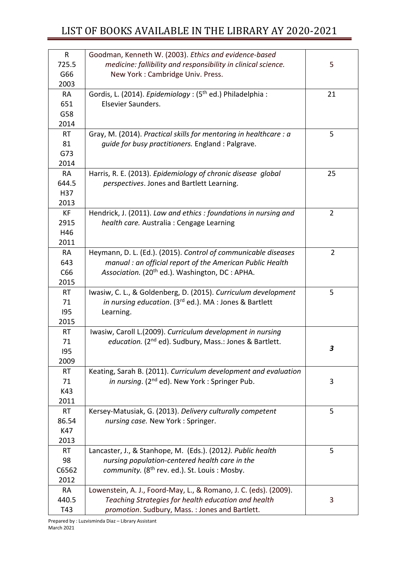| $\mathsf{R}$      | Goodman, Kenneth W. (2003). Ethics and evidence-based                |                |
|-------------------|----------------------------------------------------------------------|----------------|
| 725.5             | medicine: fallibility and responsibility in clinical science.        | 5              |
| G66               | New York: Cambridge Univ. Press.                                     |                |
| 2003              |                                                                      |                |
| <b>RA</b>         | Gordis, L. (2014). Epidemiology: (5 <sup>th</sup> ed.) Philadelphia: | 21             |
| 651               | Elsevier Saunders.                                                   |                |
| G58               |                                                                      |                |
| 2014              |                                                                      |                |
| <b>RT</b>         | Gray, M. (2014). Practical skills for mentoring in healthcare : a    | 5              |
| 81                | quide for busy practitioners. England : Palgrave.                    |                |
| G73               |                                                                      |                |
| 2014              |                                                                      |                |
| <b>RA</b>         | Harris, R. E. (2013). Epidemiology of chronic disease global         | 25             |
| 644.5             | perspectives. Jones and Bartlett Learning.                           |                |
| H37               |                                                                      |                |
| 2013              |                                                                      |                |
| KF                | Hendrick, J. (2011). Law and ethics: foundations in nursing and      | $\overline{2}$ |
| 2915              | health care. Australia: Cengage Learning                             |                |
| H46               |                                                                      |                |
| 2011              |                                                                      |                |
| <b>RA</b>         | Heymann, D. L. (Ed.). (2015). Control of communicable diseases       | $\overline{2}$ |
| 643               | manual : an official report of the American Public Health            |                |
| C66               | Association. (20 <sup>th</sup> ed.). Washington, DC : APHA.          |                |
| 2015              |                                                                      |                |
| <b>RT</b>         | Iwasiw, C. L., & Goldenberg, D. (2015). Curriculum development       | 5              |
| 71                | in nursing education. (3rd ed.). MA : Jones & Bartlett               |                |
| 195               | Learning.                                                            |                |
| 2015<br><b>RT</b> | Iwasiw, Caroll L.(2009). Curriculum development in nursing           |                |
| 71                | education. (2 <sup>nd</sup> ed). Sudbury, Mass.: Jones & Bartlett.   |                |
| 195               |                                                                      | 3              |
| 2009              |                                                                      |                |
| <b>RT</b>         | Keating, Sarah B. (2011). Curriculum development and evaluation      |                |
| 71                | in nursing. (2 <sup>nd</sup> ed). New York: Springer Pub.            | 3              |
| K43               |                                                                      |                |
| 2011              |                                                                      |                |
| <b>RT</b>         | Kersey-Matusiak, G. (2013). Delivery culturally competent            | 5              |
| 86.54             | nursing case. New York : Springer.                                   |                |
| K47               |                                                                      |                |
| 2013              |                                                                      |                |
| <b>RT</b>         | Lancaster, J., & Stanhope, M. (Eds.). (2012). Public health          | 5              |
| 98                | nursing population-centered health care in the                       |                |
| C6562             | community. (8 <sup>th</sup> rev. ed.). St. Louis: Mosby.             |                |
| 2012              |                                                                      |                |
| <b>RA</b>         | Lowenstein, A. J., Foord-May, L., & Romano, J. C. (eds). (2009).     |                |
| 440.5             | Teaching Strategies for health education and health                  | 3              |
| T43               | promotion. Sudbury, Mass.: Jones and Bartlett.                       |                |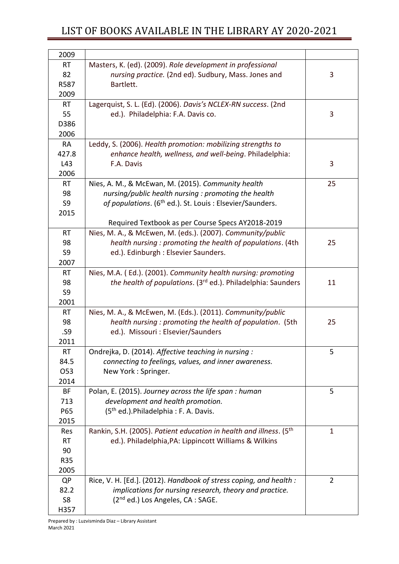| 2009      |                                                                                |                |
|-----------|--------------------------------------------------------------------------------|----------------|
| <b>RT</b> | Masters, K. (ed). (2009). Role development in professional                     |                |
| 82        | nursing practice. (2nd ed). Sudbury, Mass. Jones and                           | 3              |
| R587      | Bartlett.                                                                      |                |
| 2009      |                                                                                |                |
| <b>RT</b> | Lagerquist, S. L. (Ed). (2006). Davis's NCLEX-RN success. (2nd                 |                |
| 55        | ed.). Philadelphia: F.A. Davis co.                                             | 3              |
| D386      |                                                                                |                |
| 2006      |                                                                                |                |
| <b>RA</b> | Leddy, S. (2006). Health promotion: mobilizing strengths to                    |                |
| 427.8     | enhance health, wellness, and well-being. Philadelphia:                        |                |
| L43       | F.A. Davis                                                                     | 3              |
| 2006      |                                                                                |                |
| <b>RT</b> | Nies, A. M., & McEwan, M. (2015). Community health                             | 25             |
| 98        | nursing/public health nursing : promoting the health                           |                |
| S9        | of populations. (6 <sup>th</sup> ed.). St. Louis : Elsevier/Saunders.          |                |
| 2015      |                                                                                |                |
|           | Required Textbook as per Course Specs AY2018-2019                              |                |
| <b>RT</b> | Nies, M. A., & McEwen, M. (eds.). (2007). Community/public                     |                |
| 98        | health nursing: promoting the health of populations. (4th                      | 25             |
| S9        | ed.). Edinburgh : Elsevier Saunders.                                           |                |
| 2007      |                                                                                |                |
| <b>RT</b> | Nies, M.A. (Ed.). (2001). Community health nursing: promoting                  |                |
| 98        | the health of populations. (3 <sup>rd</sup> ed.). Philadelphia: Saunders       | 11             |
| S9        |                                                                                |                |
| 2001      |                                                                                |                |
| <b>RT</b> | Nies, M. A., & McEwen, M. (Eds.). (2011). Community/public                     |                |
| 98        | health nursing: promoting the health of population. (5th                       | 25             |
| .S9       | ed.). Missouri : Elsevier/Saunders                                             |                |
| 2011      |                                                                                |                |
| <b>RT</b> | Ondrejka, D. (2014). Affective teaching in nursing :                           | 5              |
| 84.5      | connecting to feelings, values, and inner awareness.                           |                |
| O53       | New York: Springer.                                                            |                |
| 2014      |                                                                                |                |
| BF        | Polan, E. (2015). Journey across the life span: human                          | 5              |
| 713       | development and health promotion.                                              |                |
| P65       | (5 <sup>th</sup> ed.). Philadelphia: F. A. Davis.                              |                |
| 2015      |                                                                                |                |
| Res       | Rankin, S.H. (2005). Patient education in health and illness. (5 <sup>th</sup> | $\mathbf{1}$   |
| <b>RT</b> | ed.). Philadelphia, PA: Lippincott Williams & Wilkins                          |                |
| 90        |                                                                                |                |
| R35       |                                                                                |                |
| 2005      |                                                                                |                |
| QP        | Rice, V. H. [Ed.]. (2012). Handbook of stress coping, and health :             | $\overline{2}$ |
| 82.2      | implications for nursing research, theory and practice.                        |                |
| S8        | (2 <sup>nd</sup> ed.) Los Angeles, CA : SAGE.                                  |                |
|           |                                                                                |                |
| H357      |                                                                                |                |